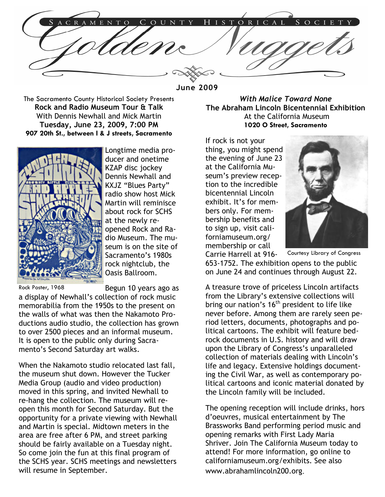ORICAL ENTO  $\Omega$ UNT

June 2009

The Sacramento County Historical Society Presents Rock and Radio Museum Tour & Talk With Dennis Newhall and Mick Martin Tuesday, June 23, 2009, 7:00 PM 907 20th St., between I & J streets, Sacramento



Longtime media producer and onetime KZAP disc jockey Dennis Newhall and KXJZ "Blues Party" radio show host Mick Martin will reminisce about rock for SCHS at the newly reopened Rock and Radio Museum. The museum is on the site of Sacramento's 1980s rock nightclub, the Oasis Ballroom.

Rock Poster, 1968

Begun 10 years ago as

a display of Newhall's collection of rock music memorabilia from the 1950s to the present on the walls of what was then the Nakamoto Productions audio studio, the collection has grown to over 2500 pieces and an informal museum. It is open to the public only during Sacramento's Second Saturday art walks.

When the Nakamoto studio relocated last fall, the museum shut down. However the Tucker Media Group (audio and video production) moved in this spring, and invited Newhall to re-hang the collection. The museum will reopen this month for Second Saturday. But the opportunity for a private viewing with Newhall and Martin is special. Midtown meters in the area are free after 6 PM, and street parking should be fairly available on a Tuesday night. So come join the fun at this final program of the SCHS year. SCHS meetings and newsletters will resume in September.

With Malice Toward None The Abraham Lincoln Bicentennial Exhibition At the California Museum 1020 O Street, Sacramento

If rock is not your thing, you might spend the evening of June 23 at the California Museum's preview reception to the incredible bicentennial Lincoln exhibit. It's for members only. For membership benefits and to sign up, visit californiamuseum.org/ membership or call



Carrie Harrell at 916- 653-1752. The exhibition opens to the public on June 24 and continues through August 22.

A treasure trove of priceless Lincoln artifacts from the Library's extensive collections will bring our nation's  $16<sup>th</sup>$  president to life like never before. Among them are rarely seen period letters, documents, photographs and political cartoons. The exhibit will feature bedrock documents in U.S. history and will draw upon the Library of Congress's unparalleled collection of materials dealing with Lincoln's life and legacy. Extensive holdings documenting the Civil War, as well as contemporary political cartoons and iconic material donated by the Lincoln family will be included.

The opening reception will include drinks, hors d'oeuvres, musical entertainment by The Brassworks Band performing period music and opening remarks with First Lady Maria Shriver. Join The California Museum today to attend! For more information, go online to californiamuseum.org/exhibits. See also www.abrahamlincoln200.org.